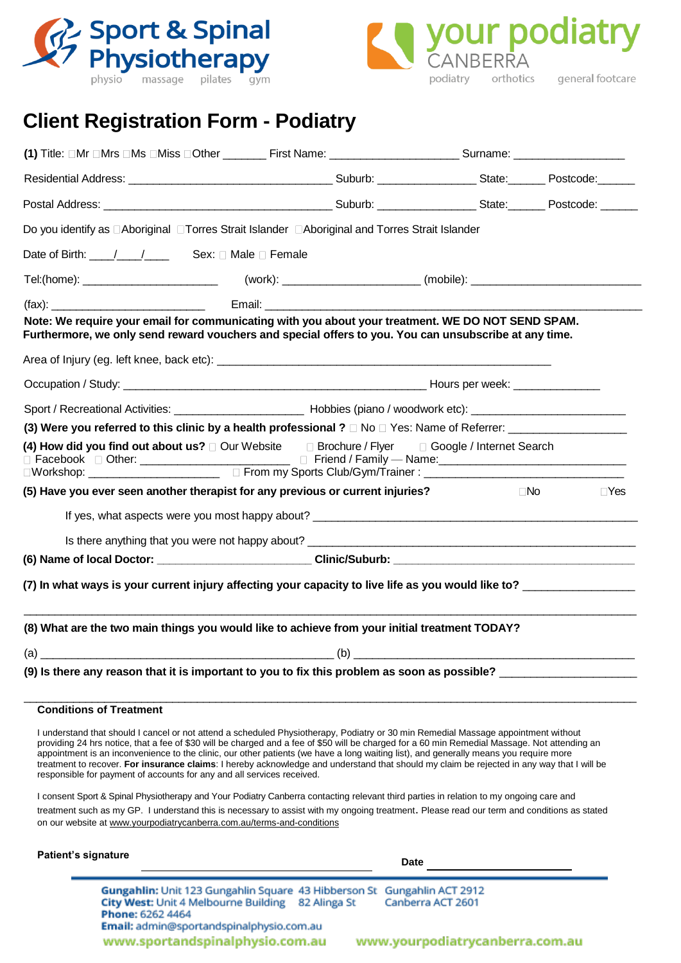



# **Client Registration Form - Podiatry**

| (1) Title: □Mr □Mrs □Ms □Miss □Other _________First Name: ______________________Surname: _____________________                                                                                                                 |  |  |  |              |            |  |  |  |
|--------------------------------------------------------------------------------------------------------------------------------------------------------------------------------------------------------------------------------|--|--|--|--------------|------------|--|--|--|
|                                                                                                                                                                                                                                |  |  |  |              |            |  |  |  |
| Postal Address: No. 1997 - Suburb: No. 1997 - Suburb: No. 1997 - State: No. 1998 - Postcode: No. 1998 - Postcode: No. 1998 - State: No. 1998 - Postcode: No. 1999 - State: No. 1999 - State: No. 1999 - State: No. 1999 - Stat |  |  |  |              |            |  |  |  |
| Do you identify as □Aboriginal □Torres Strait Islander □Aboriginal and Torres Strait Islander                                                                                                                                  |  |  |  |              |            |  |  |  |
| Date of Birth: ___/___/_____ Sex: □ Male □ Female                                                                                                                                                                              |  |  |  |              |            |  |  |  |
|                                                                                                                                                                                                                                |  |  |  |              |            |  |  |  |
| (fax):<br>Email: _________                                                                                                                                                                                                     |  |  |  |              |            |  |  |  |
| Note: We require your email for communicating with you about your treatment. WE DO NOT SEND SPAM.<br>Furthermore, we only send reward vouchers and special offers to you. You can unsubscribe at any time.                     |  |  |  |              |            |  |  |  |
|                                                                                                                                                                                                                                |  |  |  |              |            |  |  |  |
|                                                                                                                                                                                                                                |  |  |  |              |            |  |  |  |
|                                                                                                                                                                                                                                |  |  |  |              |            |  |  |  |
| (3) Were you referred to this clinic by a health professional ? □ No □ Yes: Name of Referrer: _________________                                                                                                                |  |  |  |              |            |  |  |  |
| (4) How did you find out about us? $\Box$ Our Website $\Box$ Brochure / Flyer $\Box$ Google / Internet Search                                                                                                                  |  |  |  |              |            |  |  |  |
| (5) Have you ever seen another therapist for any previous or current injuries?                                                                                                                                                 |  |  |  | $\square$ No | $\Box$ Yes |  |  |  |
| If yes, what aspects were you most happy about?                                                                                                                                                                                |  |  |  |              |            |  |  |  |
|                                                                                                                                                                                                                                |  |  |  |              |            |  |  |  |
|                                                                                                                                                                                                                                |  |  |  |              |            |  |  |  |
| (7) In what ways is your current injury affecting your capacity to live life as you would like to?                                                                                                                             |  |  |  |              |            |  |  |  |
| (8) What are the two main things you would like to achieve from your initial treatment TODAY?                                                                                                                                  |  |  |  |              |            |  |  |  |
| (a) (b) (b) $\qquad \qquad$ (c)                                                                                                                                                                                                |  |  |  |              |            |  |  |  |
| (9) Is there any reason that it is important to you to fix this problem as soon as possible?                                                                                                                                   |  |  |  |              |            |  |  |  |
| <b>Conditions of Treatment</b>                                                                                                                                                                                                 |  |  |  |              |            |  |  |  |
|                                                                                                                                                                                                                                |  |  |  |              |            |  |  |  |

I understand that should I cancel or not attend a scheduled Physiotherapy, Podiatry or 30 min Remedial Massage appointment without providing 24 hrs notice, that a fee of \$30 will be charged and a fee of \$50 will be charged for a 60 min Remedial Massage. Not attending an appointment is an inconvenience to the clinic, our other patients (we have a long waiting list), and generally means you require more treatment to recover. **For insurance claims**: I hereby acknowledge and understand that should my claim be rejected in any way that I will be responsible for payment of accounts for any and all services received.

I consent Sport & Spinal Physiotherapy and Your Podiatry Canberra contacting relevant third parties in relation to my ongoing care and treatment such as my GP. I understand this is necessary to assist with my ongoing treatment. Please read our term and conditions as stated on our website at www.yourpodiatrycanberra.com.au/terms-and-conditions

#### **Patient's signature**

 **Date**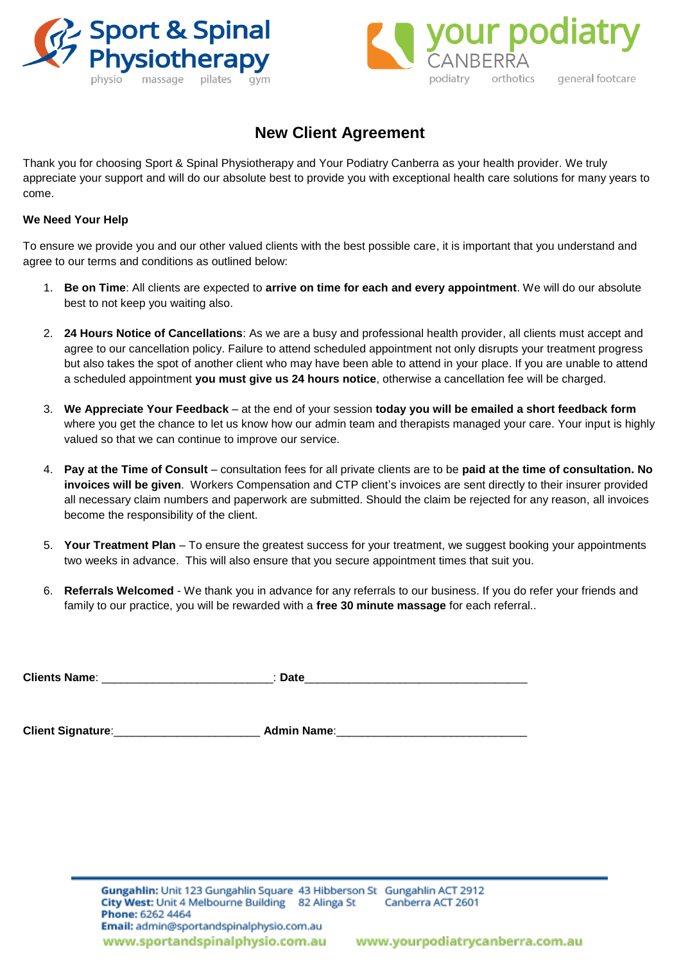



## **New Client Agreement**

Thank you for choosing Sport & Spinal Physiotherapy and Your Podiatry Canberra as your health provider. We truly appreciate your support and will do our absolute best to provide you with exceptional health care solutions for many years to come.

### **We Need Your Help**

To ensure we provide you and our other valued clients with the best possible care, it is important that you understand and agree to our terms and conditions as outlined below:

- 1. **Be on Time**: All clients are expected to **arrive on time for each and every appointment**. We will do our absolute best to not keep you waiting also.
- 2. **24 Hours Notice of Cancellations**: As we are a busy and professional health provider, all clients must accept and agree to our cancellation policy. Failure to attend scheduled appointment not only disrupts your treatment progress but also takes the spot of another client who may have been able to attend in your place. If you are unable to attend a scheduled appointment **you must give us 24 hours notice**, otherwise a cancellation fee will be charged.
- 3. **We Appreciate Your Feedback**  at the end of your session **today you will be emailed a short feedback form** where you get the chance to let us know how our admin team and therapists managed your care. Your input is highly valued so that we can continue to improve our service.
- 4. **Pay at the Time of Consult** consultation fees for all private clients are to be **paid at the time of consultation. No invoices will be given**. Workers Compensation and CTP client's invoices are sent directly to their insurer provided all necessary claim numbers and paperwork are submitted. Should the claim be rejected for any reason, all invoices become the responsibility of the client.
- 5. **Your Treatment Plan**  To ensure the greatest success for your treatment, we suggest booking your appointments two weeks in advance. This will also ensure that you secure appointment times that suit you.
- 6. **Referrals Welcomed** We thank you in advance for any referrals to our business. If you do refer your friends and family to our practice, you will be rewarded with a **free 30 minute massage** for each referral..

| <b>Clients Name:</b> | <b>Date</b> |  |
|----------------------|-------------|--|
|                      |             |  |

**Client Signature**:\_\_\_\_\_\_\_\_\_\_\_\_\_\_\_\_\_\_\_\_\_\_\_ **Admin Name**:\_\_\_\_\_\_\_\_\_\_\_\_\_\_\_\_\_\_\_\_\_\_\_\_\_\_\_\_\_\_